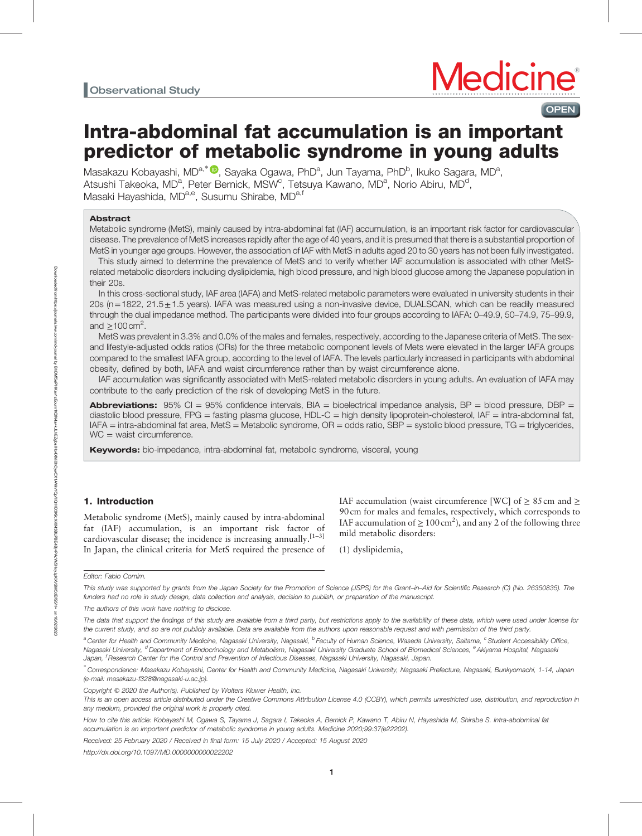# **Medicine OPEN**

# Intra-abdominal fat accumulation is an important predictor of metabolic syndrome in young adults

Masakazu Kobayashi, MD<sup>a,\*●</sup>, Sayaka Ogawa, PhD<sup>a</sup>, Jun Tayama, PhD<sup>b</sup>, Ikuko Sagara, MD<sup>a</sup>, Atsushi Takeoka, MD<sup>a</sup>, Peter Bernick, MSW<sup>c</sup>, Tetsuya Kawano, MD<sup>a</sup>, Norio Abiru, MD<sup>d</sup>, Masaki Hayashida, MD<sup>a,e</sup>, Susumu Shirabe, MD<sup>a,f</sup>

# Abstract

Metabolic syndrome (MetS), mainly caused by intra-abdominal fat (IAF) accumulation, is an important risk factor for cardiovascular disease. The prevalence of MetS increases rapidly after the age of 40 years, and it is presumed that there is a substantial proportion of MetS in younger age groups. However, the association of IAF with MetS in adults aged 20 to 30 years has not been fully investigated.

This study aimed to determine the prevalence of MetS and to verify whether IAF accumulation is associated with other MetSrelated metabolic disorders including dyslipidemia, high blood pressure, and high blood glucose among the Japanese population in their 20s.

In this cross-sectional study, IAF area (IAFA) and MetS-related metabolic parameters were evaluated in university students in their 20s (n=1822, 21.5±1.5 years). IAFA was measured using a non-invasive device, DUALSCAN, which can be readily measured through the dual impedance method. The participants were divided into four groups according to IAFA: 0–49.9, 50–74.9, 75–99.9, and  $\geq$ 100 cm<sup>2</sup>.

MetS was prevalent in 3.3% and 0.0% of the males and females, respectively, according to the Japanese criteria of MetS. The sexand lifestyle-adjusted odds ratios (ORs) for the three metabolic component levels of Mets were elevated in the larger IAFA groups compared to the smallest IAFA group, according to the level of IAFA. The levels particularly increased in participants with abdominal obesity, defined by both, IAFA and waist circumference rather than by waist circumference alone.

IAF accumulation was significantly associated with MetS-related metabolic disorders in young adults. An evaluation of IAFA may contribute to the early prediction of the risk of developing MetS in the future.

**Abbreviations:** 95% CI = 95% confidence intervals, BIA = bioelectrical impedance analysis, BP = blood pressure, DBP = diastolic blood pressure, FPG = fasting plasma glucose, HDL-C = high density lipoprotein-cholesterol, IAF = intra-abdominal fat, IAFA = intra-abdominal fat area, MetS = Metabolic syndrome, OR = odds ratio, SBP = systolic blood pressure, TG = triglycerides, WC = waist circumference.

Keywords: bio-impedance, intra-abdominal fat, metabolic syndrome, visceral, young

# 1. Introduction

Metabolic syndrome (MetS), mainly caused by intra-abdominal fat (IAF) accumulation, is an important risk factor of cardiovascular disease; the incidence is increasing annually.<sup>[1-3]</sup> In Japan, the clinical criteria for MetS required the presence of IAF accumulation (waist circumference [WC] of  $\geq 85$  cm and  $\geq$ 90 cm for males and females, respectively, which corresponds to IAF accumulation of  $\geq 100 \text{ cm}^2$ ), and any 2 of the following three mild metabolic disorders:

(1) dyslipidemia,

Received: 25 February 2020 / Received in final form: 15 July 2020 / Accepted: 15 August 2020

Editor: Fabio Comim.

This study was supported by grants from the Japan Society for the Promotion of Science (JSPS) for the Grant–in–Aid for Scientific Research (C) (No. 26350835). The funders had no role in study design, data collection and analysis, decision to publish, or preparation of the manuscript.

The authors of this work have nothing to disclose.

The data that support the findings of this study are available from a third party, but restrictions apply to the availability of these data, which were used under license for the current study, and so are not publicly available. Data are available from the authors upon reasonable request and with permission of the third party.

<sup>&</sup>lt;sup>a</sup> Center for Health and Community Medicine, Nagasaki University, Nagasaki, <sup>b</sup> Faculty of Human Science, Waseda University, Saitama, <sup>c</sup> Student Accessibility Office, Nagasaki University, <sup>d</sup> Department of Endocrinology and Metabolism, Nagasaki University Graduate School of Biomedical Sciences, <sup>e</sup> Akiyama Hospital, Nagasaki Japan, <sup>f</sup> Research Center for the Control and Prevention of Infectious Diseases, Nagasaki University, Nagasaki, Japan.

<sup>∗</sup> Correspondence: Masakazu Kobayashi, Center for Health and Community Medicine, Nagasaki University, Nagasaki Prefecture, Nagasaki, Bunkyomachi, 1-14, Japan (e-mail: [masakazu-f328@nagasaki-u.ac.jp](mailto:masakazu-f328@nagasaki-u.ac.jp)).

Copyright © 2020 the Author(s). Published by Wolters Kluwer Health, Inc.

This is an open access article distributed under the [Creative Commons Attribution License 4.0](http://creativecommons.org/licenses/by/4.0) (CCBY), which permits unrestricted use, distribution, and reproduction in any medium, provided the original work is properly cited.

How to cite this article: Kobayashi M, Ogawa S, Tayama J, Sagara I, Takeoka A, Bernick P, Kawano T, Abiru N, Hayashida M, Shirabe S. Intra-abdominal fat accumulation is an important predictor of metabolic syndrome in young adults. Medicine 2020;99:37(e22202).

<http://dx.doi.org/10.1097/MD.0000000000022202>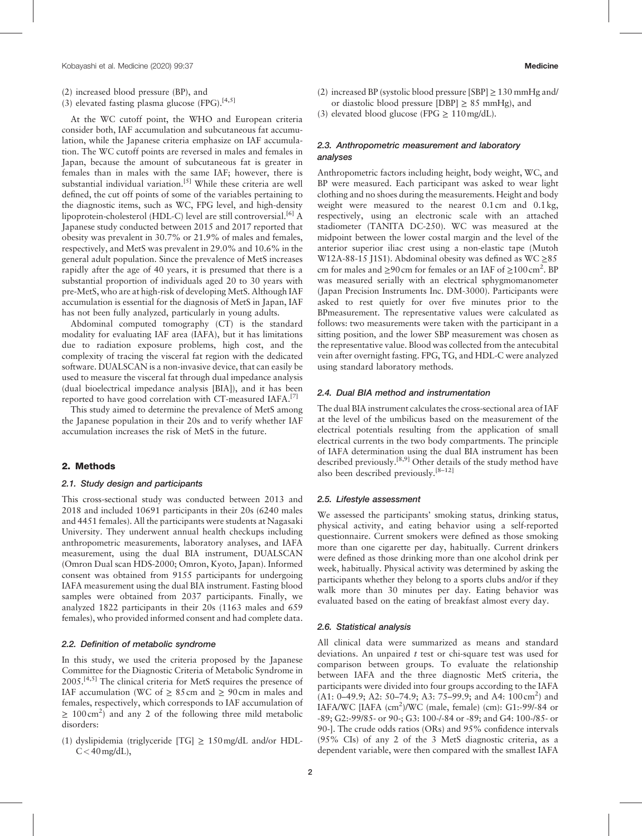- (2) increased blood pressure (BP), and
- (3) elevated fasting plasma glucose (FPG).<sup>[4,5]</sup>

At the WC cutoff point, the WHO and European criteria consider both, IAF accumulation and subcutaneous fat accumulation, while the Japanese criteria emphasize on IAF accumulation. The WC cutoff points are reversed in males and females in Japan, because the amount of subcutaneous fat is greater in females than in males with the same IAF; however, there is substantial individual variation.<sup>[5]</sup> While these criteria are well defined, the cut off points of some of the variables pertaining to the diagnostic items, such as WC, FPG level, and high-density lipoprotein-cholesterol (HDL-C) level are still controversial.<sup>[6]</sup> A Japanese study conducted between 2015 and 2017 reported that obesity was prevalent in 30.7% or 21.9% of males and females, respectively, and MetS was prevalent in 29.0% and 10.6% in the general adult population. Since the prevalence of MetS increases rapidly after the age of 40 years, it is presumed that there is a substantial proportion of individuals aged 20 to 30 years with pre-MetS, who are at high-risk of developing MetS. Although IAF accumulation is essential for the diagnosis of MetS in Japan, IAF has not been fully analyzed, particularly in young adults.

Abdominal computed tomography (CT) is the standard modality for evaluating IAF area (IAFA), but it has limitations due to radiation exposure problems, high cost, and the complexity of tracing the visceral fat region with the dedicated software. DUALSCAN is a non-invasive device, that can easily be used to measure the visceral fat through dual impedance analysis (dual bioelectrical impedance analysis [BIA]), and it has been reported to have good correlation with CT-measured IAFA. $^{[7]}$ 

This study aimed to determine the prevalence of MetS among the Japanese population in their 20s and to verify whether IAF accumulation increases the risk of MetS in the future.

#### 2. Methods

# 2.1. Study design and participants

This cross-sectional study was conducted between 2013 and 2018 and included 10691 participants in their 20s (6240 males and 4451 females). All the participants were students at Nagasaki University. They underwent annual health checkups including anthropometric measurements, laboratory analyses, and IAFA measurement, using the dual BIA instrument, DUALSCAN (Omron Dual scan HDS-2000; Omron, Kyoto, Japan). Informed consent was obtained from 9155 participants for undergoing IAFA measurement using the dual BIA instrument. Fasting blood samples were obtained from 2037 participants. Finally, we analyzed 1822 participants in their 20s (1163 males and 659 females), who provided informed consent and had complete data.

#### 2.2. Definition of metabolic syndrome

In this study, we used the criteria proposed by the Japanese Committee for the Diagnostic Criteria of Metabolic Syndrome in 2005.[4,5] The clinical criteria for MetS requires the presence of IAF accumulation (WC of  $\geq 85$  cm and  $\geq 90$  cm in males and females, respectively, which corresponds to IAF accumulation of  $\geq 100 \text{ cm}^2$  and any 2 of the following three mild metabolic disorders:

(1) dyslipidemia (triglyceride [TG]  $\geq$  150 mg/dL and/or HDL- $C < 40$  mg/dL),

(2) increased BP (systolic blood pressure [SBP]  $\geq$  130 mmHg and/ or diastolic blood pressure [DBP]  $\geq$  85 mmHg), and

(3) elevated blood glucose (FPG  $\geq 110 \text{ mg/dL}$ ).

# 2.3. Anthropometric measurement and laboratory analyses

Anthropometric factors including height, body weight, WC, and BP were measured. Each participant was asked to wear light clothing and no shoes during the measurements. Height and body weight were measured to the nearest 0.1 cm and 0.1 kg, respectively, using an electronic scale with an attached stadiometer (TANITA DC-250). WC was measured at the midpoint between the lower costal margin and the level of the anterior superior iliac crest using a non-elastic tape (Mutoh W12A-88-15 J1S1). Abdominal obesity was defined as WC ≥85 cm for males and  $\geq$ 90 cm for females or an IAF of  $\geq$ 100 cm<sup>2</sup>. BP was measured serially with an electrical sphygmomanometer (Japan Precision Instruments Inc. DM-3000). Participants were asked to rest quietly for over five minutes prior to the BPmeasurement. The representative values were calculated as follows: two measurements were taken with the participant in a sitting position, and the lower SBP measurement was chosen as the representative value. Blood was collected from the antecubital vein after overnight fasting. FPG, TG, and HDL-C were analyzed using standard laboratory methods.

#### 2.4. Dual BIA method and instrumentation

The dual BIA instrument calculates the cross-sectional area of IAF at the level of the umbilicus based on the measurement of the electrical potentials resulting from the application of small electrical currents in the two body compartments. The principle of IAFA determination using the dual BIA instrument has been described previously.<sup>[8,9]</sup> Other details of the study method have also been described previously.<sup>[8–12]</sup>

#### 2.5. Lifestyle assessment

We assessed the participants' smoking status, drinking status, physical activity, and eating behavior using a self-reported questionnaire. Current smokers were defined as those smoking more than one cigarette per day, habitually. Current drinkers were defined as those drinking more than one alcohol drink per week, habitually. Physical activity was determined by asking the participants whether they belong to a sports clubs and/or if they walk more than 30 minutes per day. Eating behavior was evaluated based on the eating of breakfast almost every day.

#### 2.6. Statistical analysis

All clinical data were summarized as means and standard deviations. An unpaired  $t$  test or chi-square test was used for comparison between groups. To evaluate the relationship between IAFA and the three diagnostic MetS criteria, the participants were divided into four groups according to the IAFA  $(A1: 0-49.9; A2: 50-74.9; A3: 75-99.9; and A4: 100 cm<sup>2</sup>)$  and IAFA/WC [IAFA  $\rm (cm^2)/WC$  (male, female) (cm): G1:-99/-84 or -89; G2:-99/85- or 90-; G3: 100-/-84 or -89; and G4: 100-/85- or 90-]. The crude odds ratios (ORs) and 95% confidence intervals (95% CIs) of any 2 of the 3 MetS diagnostic criteria, as a dependent variable, were then compared with the smallest IAFA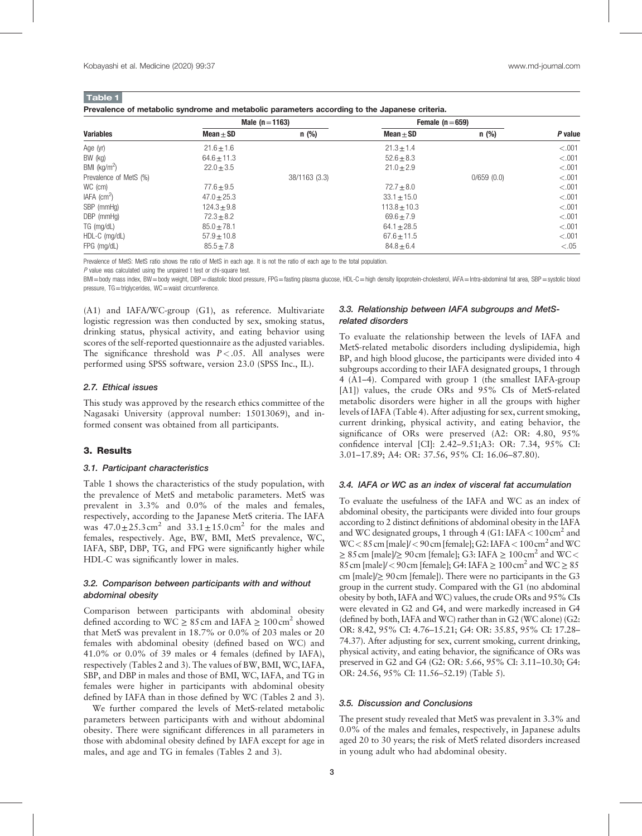|                        |                 | Male $(n=1163)$ | Female $(n=659)$ |            |         |  |
|------------------------|-----------------|-----------------|------------------|------------|---------|--|
| <b>Variables</b>       | $Mean + SD$     | $n$ (%)         | $Mean + SD$      | n(%)       | P value |  |
| Age (yr)               | $21.6 \pm 1.6$  |                 | $21.3 \pm 1.4$   |            | < 0.001 |  |
| BW (kg)                | $64.6 \pm 11.3$ |                 | $52.6 \pm 8.3$   |            | < .001  |  |
| BMI ( $kg/m2$ )        | $22.0 \pm 3.5$  |                 | $21.0 + 2.9$     |            | < .001  |  |
| Prevalence of MetS (%) |                 | 38/1163 (3.3)   |                  | 0/659(0.0) | < .001  |  |
| WC (cm)                | $77.6 + 9.5$    |                 | $72.7 \pm 8.0$   |            | < .001  |  |
| IAFA $\rm (cm^2)$      | $47.0 \pm 25.3$ |                 | $33.1 \pm 15.0$  |            | < .001  |  |
| SBP (mmHg)             | $124.3 + 9.8$   |                 | $113.8 \pm 10.3$ |            | < .001  |  |
| $DBP$ (mmHg)           | $72.3 + 8.2$    |                 | $69.6 + 7.9$     |            | < .001  |  |
| TG (mg/dL)             | $85.0 \pm 78.1$ |                 | $64.1 \pm 28.5$  |            | < .001  |  |
| HDL-C (mg/dL)          | $57.9 \pm 10.8$ |                 | $67.6 \pm 11.5$  |            | < .001  |  |
| FPG (mg/dL)            | $85.5 \pm 7.8$  |                 | $84.8 + 6.4$     |            | < 0.05  |  |

Prevalence of MetS: MetS ratio shows the ratio of MetS in each age. It is not the ratio of each age to the total population.

 $P$  value was calculated using the unpaired t test or chi-square test.

BMI=body mass index, BW=body weight, DBP=diastolic blood pressure, FPG=fasting plasma glucose, HDL-C=high density lipoprotein-cholesterol, IAFA=Intra-abdominal fat area, SBP=systolic blood pressure, TG=triglycerides, WC=waist circumference.

(A1) and IAFA/WC-group (G1), as reference. Multivariate logistic regression was then conducted by sex, smoking status, drinking status, physical activity, and eating behavior using scores of the self-reported questionnaire as the adjusted variables. The significance threshold was  $P < .05$ . All analyses were performed using SPSS software, version 23.0 (SPSS Inc., IL).

#### 2.7. Ethical issues

This study was approved by the research ethics committee of the Nagasaki University (approval number: 15013069), and informed consent was obtained from all participants.

# 3. Results

#### 3.1. Participant characteristics

Table 1 shows the characteristics of the study population, with the prevalence of MetS and metabolic parameters. MetS was prevalent in 3.3% and 0.0% of the males and females, respectively, according to the Japanese MetS criteria. The IAFA was  $47.0 \pm 25.3 \text{ cm}^2$  and  $33.1 \pm 15.0 \text{ cm}^2$  for the males and females, respectively. Age, BW, BMI, MetS prevalence, WC, IAFA, SBP, DBP, TG, and FPG were significantly higher while HDL-C was significantly lower in males.

# 3.2. Comparison between participants with and without abdominal obesity

Comparison between participants with abdominal obesity defined according to  $WC \geq 85$  cm and IAFA  $\geq 100$  cm<sup>2</sup> showed that MetS was prevalent in 18.7% or 0.0% of 203 males or 20 females with abdominal obesity (defined based on WC) and 41.0% or 0.0% of 39 males or 4 females (defined by IAFA), respectively (Tables 2 and 3). The values of BW, BMI, WC, IAFA, SBP, and DBP in males and those of BMI, WC, IAFA, and TG in females were higher in participants with abdominal obesity defined by IAFA than in those defined by WC (Tables 2 and 3).

We further compared the levels of MetS-related metabolic parameters between participants with and without abdominal obesity. There were significant differences in all parameters in those with abdominal obesity defined by IAFA except for age in males, and age and TG in females (Tables 2 and 3).

# 3.3. Relationship between IAFA subgroups and MetSrelated disorders

To evaluate the relationship between the levels of IAFA and MetS-related metabolic disorders including dyslipidemia, high BP, and high blood glucose, the participants were divided into 4 subgroups according to their IAFA designated groups, 1 through 4 (A1–4). Compared with group 1 (the smallest IAFA-group [A1]) values, the crude ORs and 95% CIs of MetS-related metabolic disorders were higher in all the groups with higher levels of IAFA (Table 4). After adjusting for sex, current smoking, current drinking, physical activity, and eating behavior, the significance of ORs were preserved (A2: OR: 4.80, 95% confidence interval [CI]: 2.42–9.51;A3: OR: 7.34, 95% CI: 3.01–17.89; A4: OR: 37.56, 95% CI: 16.06–87.80).

#### 3.4. IAFA or WC as an index of visceral fat accumulation

To evaluate the usefulness of the IAFA and WC as an index of abdominal obesity, the participants were divided into four groups according to 2 distinct definitions of abdominal obesity in the IAFA and WC designated groups, 1 through 4 (G1: IAFA < 100 cm<sup>2</sup> and  $WC < 85$  cm [male]/  $< 90$  cm [female]; G2: IAFA  $< 100$  cm<sup>2</sup> and WC  $\geq 85$  cm [male]/ $\geq 90$  cm [female]; G3: IAFA  $\geq 100$  cm<sup>2</sup> and WC < 85 cm [male]/ < 90 cm [female]; G4: IAFA  $\geq 100$  cm<sup>2</sup> and WC  $\geq 85$ cm [male]/≥ 90cm [female]). There were no participants in the G3 group in the current study. Compared with the G1 (no abdominal obesity by both, IAFA and WC) values, the crude ORs and 95% CIs were elevated in G2 and G4, and were markedly increased in G4 (defined by both, IAFA and WC) rather than in G2 (WC alone) (G2: OR: 8.42, 95% CI: 4.76–15.21; G4: OR: 35.85, 95% CI: 17.28– 74.37). After adjusting for sex, current smoking, current drinking, physical activity, and eating behavior, the significance of ORs was preserved in G2 and G4 (G2: OR: 5.66, 95% CI: 3.11–10.30; G4: OR: 24.56, 95% CI: 11.56–52.19) (Table 5).

#### 3.5. Discussion and Conclusions

The present study revealed that MetS was prevalent in 3.3% and 0.0% of the males and females, respectively, in Japanese adults aged 20 to 30 years; the risk of MetS related disorders increased in young adult who had abdominal obesity.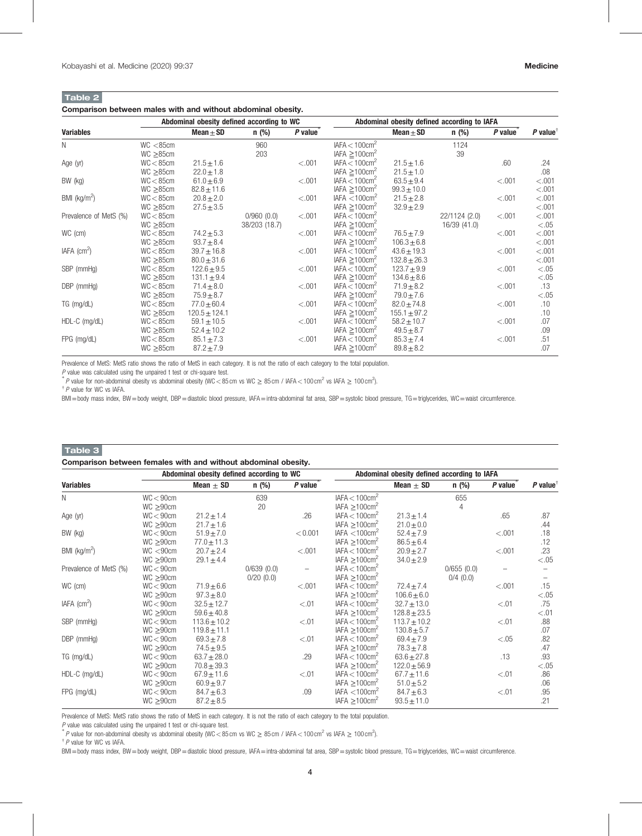# Table 2

# Comparison between males with and without abdominal obesity.

|                           |                 | Abdominal obesity defined according to WC |               |         | Abdominal obesity defined according to IAFA |                  |               |           |                        |
|---------------------------|-----------------|-------------------------------------------|---------------|---------|---------------------------------------------|------------------|---------------|-----------|------------------------|
| <b>Variables</b>          |                 | Mean $\pm$ SD                             | $n$ (%)       | P value |                                             | Mean $\pm$ SD    | $n$ (%)       | $P$ value | $P$ value <sup>†</sup> |
| N                         | WC < 85cm       |                                           | 960           |         | IAFA < 100cm <sup>2</sup>                   |                  | 1124          |           |                        |
|                           | $WC \geq 85$ cm |                                           | 203           |         | IAFA $\geq$ 100cm <sup>2</sup>              |                  | 39            |           |                        |
| Age (yr)                  | WC < 85cm       | $21.5 \pm 1.6$                            |               | < .001  | IAFA < 100cm <sup>2</sup>                   | $21.5 \pm 1.6$   |               | .60       | .24                    |
|                           | $WC \geq 85cm$  | $22.0 \pm 1.8$                            |               |         | IAFA $\geq$ 100cm <sup>2</sup>              | $21.5 \pm 1.0$   |               |           | .08                    |
| BW (kg)                   | WC < 85cm       | $61.0 \pm 6.9$                            |               | < .001  | IAFA < 100cm <sup>2</sup>                   | $63.5 + 9.4$     |               | < .001    | < 0.001                |
|                           | $WC \geq 85$ cm | $82.8 \pm 11.6$                           |               |         | IAFA $\geq$ 100cm <sup>2</sup>              | $99.3 \pm 10.0$  |               |           | < .001                 |
| BMI ( $kg/m2$ )           | WC < 85cm       | $20.8 \pm 2.0$                            |               | < .001  | IAFA $<$ 100 $cm2$                          | $21.5 \pm 2.8$   |               | < .001    | < .001                 |
|                           | $WC \geq 85$ cm | $27.5 \pm 3.5$                            |               |         | IAFA $\geq$ 100cm <sup>2</sup>              | $32.9 \pm 2.9$   |               |           | < .001                 |
| Prevalence of MetS (%)    | WC < 85cm       |                                           | 0/960(0.0)    | < .001  | IAFA < 100cm <sup>2</sup>                   |                  | 22/1124 (2.0) | < .001    | < .001                 |
|                           | $WC \geq 85$ cm |                                           | 38/203 (18.7) |         | IAFA $\geq$ 100cm <sup>2</sup>              |                  | 16/39 (41.0)  |           | < 0.05                 |
| WC (cm)                   | WC < 85cm       | $74.2 \pm 5.3$                            |               | < .001  | IAFA < 100cm <sup>2</sup>                   | $76.5 \pm 7.9$   |               | < .001    | < .001                 |
|                           | $WC \geq 85$ cm | $93.7 + 8.4$                              |               |         | IAFA $\geq$ 100cm <sup>2</sup>              | $106.3 \pm 6.8$  |               |           | < .001                 |
| $IAFA$ (cm <sup>2</sup> ) | WC < 85cm       | $39.7 \pm 16.8$                           |               | < .001  | IAFA < 100cm <sup>2</sup>                   | $43.6 \pm 19.3$  |               | < .001    | < .001                 |
|                           | $WC \geq 85$ cm | $80.0 \pm 31.6$                           |               |         | IAFA $\geq$ 100cm <sup>2</sup>              | $132.8 \pm 26.3$ |               |           | < .001                 |
| SBP (mmHg)                | WC < 85cm       | $122.6 \pm 9.5$                           |               | < .001  | IAFA $< 100$ cm <sup>2</sup>                | $123.7 + 9.9$    |               | < .001    | < 0.05                 |
|                           | $WC \geq 85cm$  | $131.1 \pm 9.4$                           |               |         | IAFA $\geq$ 100cm <sup>2</sup>              | $134.6 \pm 8.6$  |               |           | < 0.05                 |
| DBP (mmHg)                | WC < 85cm       | $71.4 \pm 8.0$                            |               | < .001  | IAFA < 100cm <sup>2</sup>                   | $71.9 \pm 8.2$   |               | < .001    | .13                    |
|                           | $WC \geq 85$ cm | $75.9 + 8.7$                              |               |         | IAFA $\geq$ 100cm <sup>2</sup>              | $79.0 \pm 7.6$   |               |           | < 0.05                 |
| TG (mg/dL)                | WC < 85cm       | $77.0 \pm 60.4$                           |               | < .001  | IAFA < 100cm <sup>2</sup>                   | $82.0 \pm 74.8$  |               | < .001    | .10                    |
|                           | $WC \ge 85cm$   | $120.5 \pm 124.1$                         |               |         | IAFA $\geq$ 100cm <sup>2</sup>              | $155.1 \pm 97.2$ |               |           | .10                    |
| HDL-C (mg/dL)             | WC < 85cm       | $59.1 \pm 10.5$                           |               | < .001  | IAFA $< 100$ cm <sup>2</sup>                | $58.2 \pm 10.7$  |               | < .001    | .07                    |
|                           | $WC \geq 85$ cm | $52.4 \pm 10.2$                           |               |         | IAFA $\geq$ 100cm <sup>2</sup>              | $49.5 + 8.7$     |               |           | .09                    |
| FPG (mg/dL)               | WC < 85cm       | $85.1 \pm 7.3$                            |               | < .001  | IAFA < 100cm <sup>2</sup>                   | $85.3 \pm 7.4$   |               | < .001    | .51                    |
|                           | $WC \geq 85$ cm | $87.2 \pm 7.9$                            |               |         | IAFA $\geq$ 100cm <sup>2</sup>              | $89.8 \pm 8.2$   |               |           | .07                    |

Prevalence of MetS: MetS ratio shows the ratio of MetS in each category. It is not the ratio of each category to the total population.

 $P$  value was calculated using the unpaired t test or chi-square test.

P value for non-abdominal obesity vs abdominal obesity (WC < 85 cm vs WC  $\geq 85$  cm / IAFA < 100 cm<sup>2</sup> vs IAFA  $\geq 100$  cm<sup>2</sup>).

† P value for WC vs IAFA.

BMI=body mass index, BW=body weight, DBP=diastolic blood pressure, IAFA=intra-abdominal fat area, SBP=systolic blood pressure, TG=triglycerides, WC=waist circumference.

# Table 3

| Comparison between females with and without abdominal obesity. |  |  |  |  |  |
|----------------------------------------------------------------|--|--|--|--|--|
|----------------------------------------------------------------|--|--|--|--|--|

|                             |                | Abdominal obesity defined according to WC |            |         | Abdominal obesity defined according to IAFA |                  |             |         |                        |
|-----------------------------|----------------|-------------------------------------------|------------|---------|---------------------------------------------|------------------|-------------|---------|------------------------|
| <b>Variables</b>            |                | Mean $\pm$ SD                             | $n$ (%)    | P value |                                             | Mean $\pm$ SD    | $n$ (%)     | P value | $P$ value <sup>†</sup> |
| N                           | WC < 90cm      |                                           | 639        |         | IAFA < 100cm <sup>2</sup>                   |                  | 655         |         |                        |
|                             | $WC \geq 90cm$ |                                           | 20         |         | IAFA $\geq$ 100cm <sup>2</sup>              |                  | 4           |         |                        |
| Age (yr)                    | WC < 90cm      | $21.2 \pm 1.4$                            |            | .26     | IAFA < 100cm <sup>2</sup>                   | $21.3 \pm 1.4$   |             | .65     | .87                    |
|                             | $WC \ge 90cm$  | $21.7 \pm 1.6$                            |            |         | IAFA $\geq$ 100cm <sup>2</sup>              | $21.0 \pm 0.0$   |             |         | .44                    |
| BW (kg)                     | WC < 90cm      | $51.9 \pm 7.0$                            |            | < 0.001 | IAFA $<$ 100 $cm2$                          | $52.4 \pm 7.9$   |             | < 0.001 | .18                    |
|                             | $WC \ge 90cm$  | $77.0 \pm 11.3$                           |            |         | IAFA $\geq$ 100cm <sup>2</sup>              | $86.5 \pm 6.4$   |             |         | .12                    |
| BMI $(kg/m2)$               | WC < 90cm      | $20.7 \pm 2.4$                            |            | < 0.001 | IAFA < 100cm <sup>2</sup>                   | $20.9 \pm 2.7$   |             | < 0.001 | .23                    |
|                             | $WC \geq 90cm$ | $29.1 \pm 4.4$                            |            |         | IAFA $\geq$ 100cm <sup>2</sup>              | $34.0 \pm 2.9$   |             |         | < 0.05                 |
| Prevalence of MetS (%)      | WC < 90cm      |                                           | 0/639(0.0) |         | IAFA < 100cm <sup>2</sup>                   |                  | 0/655(0.0)  |         |                        |
|                             | $WC \geq 90cm$ |                                           | 0/20(0.0)  |         | IAFA $\geq$ 100cm <sup>2</sup>              |                  | $0/4$ (0.0) |         |                        |
| WC (cm)                     | WC < 90cm      | $71.9 \pm 6.6$                            |            | < 0.001 | IAFA < 100cm <sup>2</sup>                   | $72.4 \pm 7.4$   |             | < .001  | .15                    |
|                             | $WC \geq 90cm$ | $97.3 \pm 8.0$                            |            |         | IAFA $\geq$ 100cm <sup>2</sup>              | $106.6 \pm 6.0$  |             |         | < 0.05                 |
| IAFA $\text{(cm}^2\text{)}$ | WC < 90cm      | $32.5 \pm 12.7$                           |            | < 0.01  | IAFA < 100cm <sup>2</sup>                   | $32.7 \pm 13.0$  |             | < .01   | .75                    |
|                             | $WC \ge 90cm$  | $59.6 \pm 40.8$                           |            |         | IAFA $\geq$ 100cm <sup>2</sup>              | $128.8 \pm 23.5$ |             |         | < .01                  |
| SBP (mmHg)                  | WC < 90cm      | $113.6 \pm 10.2$                          |            | < .01   | IAFA < 100cm <sup>2</sup>                   | $113.7 \pm 10.2$ |             | < .01   | .88                    |
|                             | $WC \ge 90cm$  | $119.8 \pm 11.1$                          |            |         | IAFA $\geq$ 100cm <sup>2</sup>              | $130.8 + 5.7$    |             |         | .07                    |
| DBP (mmHg)                  | WC < 90cm      | $69.3 \pm 7.8$                            |            | < 0.01  | IAFA < 100cm <sup>2</sup>                   | $69.4 \pm 7.9$   |             | < 0.05  | .82                    |
|                             | $WC \ge 90cm$  | $74.5 \pm 9.5$                            |            |         | IAFA $\geq$ 100cm <sup>2</sup>              | $78.3 \pm 7.8$   |             |         | .47                    |
| TG (mg/dL)                  | WC < 90cm      | $63.7 \pm 28.0$                           |            | .29     | IAFA < 100cm <sup>2</sup>                   | $63.6 \pm 27.8$  |             | .13     | .93                    |
|                             | $WC \ge 90cm$  | $70.8 \pm 39.3$                           |            |         | IAFA $\geq$ 100cm <sup>2</sup>              | $122.0 \pm 56.9$ |             |         | < 0.05                 |
| $HDL-C$ (mg/dL)             | WC < 90cm      | $67.9 \pm 11.6$                           |            | < .01   | IAFA < 100cm <sup>2</sup>                   | $67.7 \pm 11.6$  |             | < .01   | .86                    |
|                             | $WC \ge 90cm$  | $60.9 \pm 9.7$                            |            |         | IAFA $\geq$ 100cm <sup>2</sup>              | $51.0 \pm 5.2$   |             |         | .06                    |
| FPG (mg/dL)                 | WC < 90cm      | $84.7 \pm 6.3$                            |            | .09     | IAFA $<$ 100 $cm2$                          | $84.7 \pm 6.3$   |             | < .01   | .95                    |
|                             | $WC \geq 90cm$ | $87.2 \pm 8.5$                            |            |         | IAFA $\geq$ 100cm <sup>2</sup>              | $93.5 \pm 11.0$  |             |         | .21                    |

Prevalence of MetS: MetS ratio shows the ratio of MetS in each category. It is not the ratio of each category to the total population.

 $P$  value was calculated using the unpaired t test or chi-square test.

P value for non-abdominal obesity vs abdominal obesity (WC < 85 cm vs WC  $\geq 85$  cm / IAFA < 100 cm<sup>2</sup> vs IAFA  $\geq 100$  cm<sup>2</sup>).

 $\dagger$  P value for WC vs IAFA.

BMI=body mass index, BW=body weight, DBP=diastolic blood pressure, IAFA=intra-abdominal fat area, SBP=systolic blood pressure, TG=triglycerides, WC=waist circumference.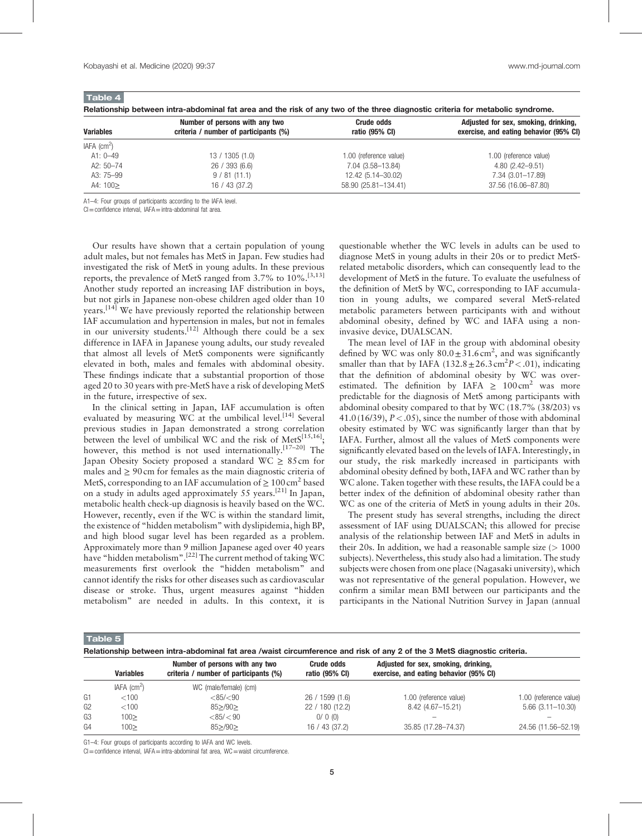| <b>Variables</b>  | Number of persons with any two<br>criteria / number of participants (%) | <b>Crude odds</b><br>ratio (95% CI) | Adjusted for sex, smoking, drinking,<br>exercise, and eating behavior (95% CI) |  |  |
|-------------------|-------------------------------------------------------------------------|-------------------------------------|--------------------------------------------------------------------------------|--|--|
| IAFA $\rm (cm^2)$ |                                                                         |                                     |                                                                                |  |  |
| A1: $0 - 49$      | 13/1305(1.0)                                                            | 1.00 (reference value)              | 1.00 (reference value)                                                         |  |  |
| A2: $50 - 74$     | 26 / 393 (6.6)                                                          | 7.04 (3.58–13.84)                   | $4.80(2.42 - 9.51)$                                                            |  |  |
| A3: 75-99         | 9 / 81 (11.1)                                                           | 12.42 (5.14-30.02)                  | 7.34 (3.01-17.89)                                                              |  |  |
| A4: $100$         | 16 / 43 (37.2)                                                          | 58.90 (25.81-134.41)                | 37.56 (16.06-87.80)                                                            |  |  |

Relationship between intra-abdominal fat area and the risk of any two of the three diagnostic criteria for metabolic syndrome.

A1–4: Four groups of participants according to the IAFA level.

CI=confidence interval, IAFA=intra-abdominal fat area.

Our results have shown that a certain population of young adult males, but not females has MetS in Japan. Few studies had investigated the risk of MetS in young adults. In these previous reports, the prevalence of MetS ranged from  $3.7\%$  to  $10\%$ .<sup>[3,13]</sup> Another study reported an increasing IAF distribution in boys, but not girls in Japanese non-obese children aged older than 10 years.<sup>[14]</sup> We have previously reported the relationship between IAF accumulation and hypertension in males, but not in females in our university students.<sup>[12]</sup> Although there could be a sex difference in IAFA in Japanese young adults, our study revealed that almost all levels of MetS components were significantly elevated in both, males and females with abdominal obesity. These findings indicate that a substantial proportion of those aged 20 to 30 years with pre-MetS have a risk of developing MetS in the future, irrespective of sex.

In the clinical setting in Japan, IAF accumulation is often evaluated by measuring WC at the umbilical level.<sup>[14]</sup> Several previous studies in Japan demonstrated a strong correlation between the level of umbilical WC and the risk of Met $S^{[15,16]}$ ; however, this method is not used internationally.<sup>[17-20]</sup> The Japan Obesity Society proposed a standard WC  $\geq 85$  cm for males and  $\geq 90$  cm for females as the main diagnostic criteria of MetS, corresponding to an IAF accumulation of  $\geq 100 \text{ cm}^2$  based on a study in adults aged approximately 55 years.<sup>[21]</sup> In Japan, metabolic health check-up diagnosis is heavily based on the WC. However, recently, even if the WC is within the standard limit, the existence of "hidden metabolism" with dyslipidemia, high BP, and high blood sugar level has been regarded as a problem. Approximately more than 9 million Japanese aged over 40 years have "hidden metabolism".<sup>[22]</sup> The current method of taking WC measurements first overlook the "hidden metabolism" and cannot identify the risks for other diseases such as cardiovascular disease or stroke. Thus, urgent measures against "hidden metabolism" are needed in adults. In this context, it is questionable whether the WC levels in adults can be used to diagnose MetS in young adults in their 20s or to predict MetSrelated metabolic disorders, which can consequently lead to the development of MetS in the future. To evaluate the usefulness of the definition of MetS by WC, corresponding to IAF accumulation in young adults, we compared several MetS-related metabolic parameters between participants with and without abdominal obesity, defined by WC and IAFA using a noninvasive device, DUALSCAN.

The mean level of IAF in the group with abdominal obesity defined by WC was only  $80.0 \pm 31.6 \text{ cm}^2$ , and was significantly smaller than that by IAFA  $(132.8 \pm 26.3 \text{ cm}^2 P < .01)$ , indicating that the definition of abdominal obesity by WC was overestimated. The definition by IAFA  $\geq 100 \text{ cm}^2$  was more predictable for the diagnosis of MetS among participants with abdominal obesity compared to that by WC (18.7% (38/203) vs 41.0 (16/39),  $P < .05$ ), since the number of those with abdominal obesity estimated by WC was significantly larger than that by IAFA. Further, almost all the values of MetS components were significantly elevated based on the levels of IAFA. Interestingly, in our study, the risk markedly increased in participants with abdominal obesity defined by both, IAFA and WC rather than by WC alone. Taken together with these results, the IAFA could be a better index of the definition of abdominal obesity rather than WC as one of the criteria of MetS in young adults in their 20s.

The present study has several strengths, including the direct assessment of IAF using DUALSCAN; this allowed for precise analysis of the relationship between IAF and MetS in adults in their 20s. In addition, we had a reasonable sample size  $(>1000$ subjects). Nevertheless, this study also had a limitation. The study subjects were chosen from one place (Nagasaki university), which was not representative of the general population. However, we confirm a similar mean BMI between our participants and the participants in the National Nutrition Survey in Japan (annual

Table 5

|  | Relationship between intra-abdominal fat area /waist circumference and risk of any 2 of the 3 MetS diagnostic criteria. |  |  |  |  |  |
|--|-------------------------------------------------------------------------------------------------------------------------|--|--|--|--|--|
|  |                                                                                                                         |  |  |  |  |  |

|                | <b>Variables</b>          | Number of persons with any two<br>criteria / number of participants (%) | <b>Crude odds</b><br>ratio (95% CI) | Adjusted for sex, smoking, drinking,<br>exercise, and eating behavior (95% CI) |                        |
|----------------|---------------------------|-------------------------------------------------------------------------|-------------------------------------|--------------------------------------------------------------------------------|------------------------|
|                | $IAFA$ (cm <sup>2</sup> ) | WC (male/female) (cm)                                                   |                                     |                                                                                |                        |
| G1             | $<$ 100                   | $<$ 85/ $<$ 90                                                          | 26/1599(1.6)                        | 1.00 (reference value)                                                         | 1.00 (reference value) |
| G <sub>2</sub> | <100                      | $85 \ge 190 \ge$                                                        | 22 / 180 (12.2)                     | 8.42 (4.67-15.21)                                                              | $5.66(3.11 - 10.30)$   |
| G <sub>3</sub> | $100 \geq$                | $<$ 85/ $<$ 90                                                          | 0/0(0)                              |                                                                                |                        |
| G <sub>4</sub> | 100 >                     | $85 \ge 190 \ge$                                                        | 16 / 43 (37.2)                      | 35.85 (17.28-74.37)                                                            | 24.56 (11.56-52.19)    |

G1–4: Four groups of participants according to IAFA and WC levels.

 $Cl =$ confidence interval, IAFA = intra-abdominal fat area, WC = waist circumference.